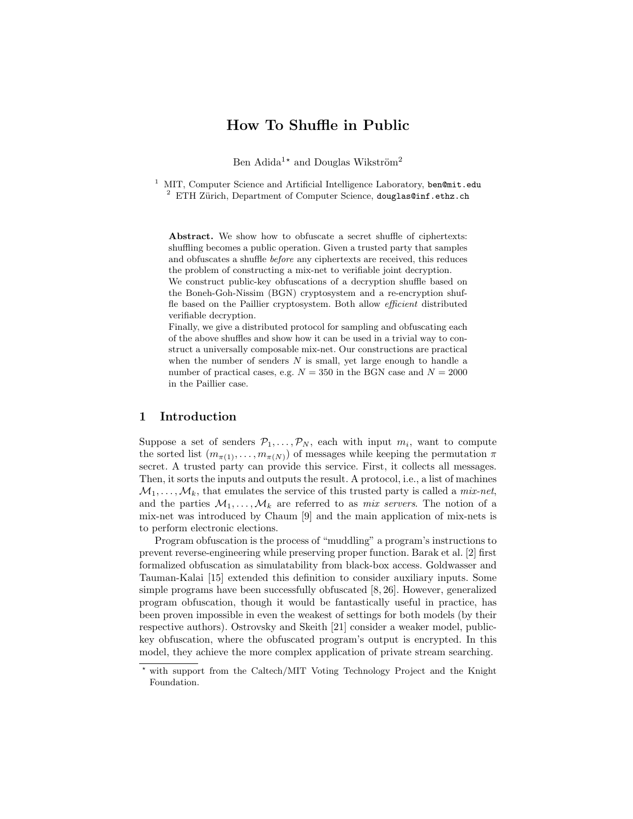# How To Shuffle in Public

Ben Adida<sup>1\*</sup> and Douglas Wikström<sup>2</sup>

MIT, Computer Science and Artificial Intelligence Laboratory, ben@mit.edu  $2$  ETH Zürich, Department of Computer Science, douglas@inf.ethz.ch

Abstract. We show how to obfuscate a secret shuffle of ciphertexts: shuffling becomes a public operation. Given a trusted party that samples and obfuscates a shuffle before any ciphertexts are received, this reduces the problem of constructing a mix-net to verifiable joint decryption.

We construct public-key obfuscations of a decryption shuffle based on the Boneh-Goh-Nissim (BGN) cryptosystem and a re-encryption shuffle based on the Paillier cryptosystem. Both allow efficient distributed verifiable decryption.

Finally, we give a distributed protocol for sampling and obfuscating each of the above shuffles and show how it can be used in a trivial way to construct a universally composable mix-net. Our constructions are practical when the number of senders  $N$  is small, yet large enough to handle a number of practical cases, e.g.  $N = 350$  in the BGN case and  $N = 2000$ in the Paillier case.

# 1 Introduction

Suppose a set of senders  $\mathcal{P}_1, \ldots, \mathcal{P}_N$ , each with input  $m_i$ , want to compute the sorted list  $(m_{\pi(1)}, \ldots, m_{\pi(N)})$  of messages while keeping the permutation  $\pi$ secret. A trusted party can provide this service. First, it collects all messages. Then, it sorts the inputs and outputs the result. A protocol, i.e., a list of machines  $\mathcal{M}_1, \ldots, \mathcal{M}_k$ , that emulates the service of this trusted party is called a *mix-net*, and the parties  $\mathcal{M}_1, \ldots, \mathcal{M}_k$  are referred to as *mix servers*. The notion of a mix-net was introduced by Chaum [9] and the main application of mix-nets is to perform electronic elections.

Program obfuscation is the process of "muddling" a program's instructions to prevent reverse-engineering while preserving proper function. Barak et al. [2] first formalized obfuscation as simulatability from black-box access. Goldwasser and Tauman-Kalai [15] extended this definition to consider auxiliary inputs. Some simple programs have been successfully obfuscated [8, 26]. However, generalized program obfuscation, though it would be fantastically useful in practice, has been proven impossible in even the weakest of settings for both models (by their respective authors). Ostrovsky and Skeith [21] consider a weaker model, publickey obfuscation, where the obfuscated program's output is encrypted. In this model, they achieve the more complex application of private stream searching.

<sup>?</sup> with support from the Caltech/MIT Voting Technology Project and the Knight Foundation.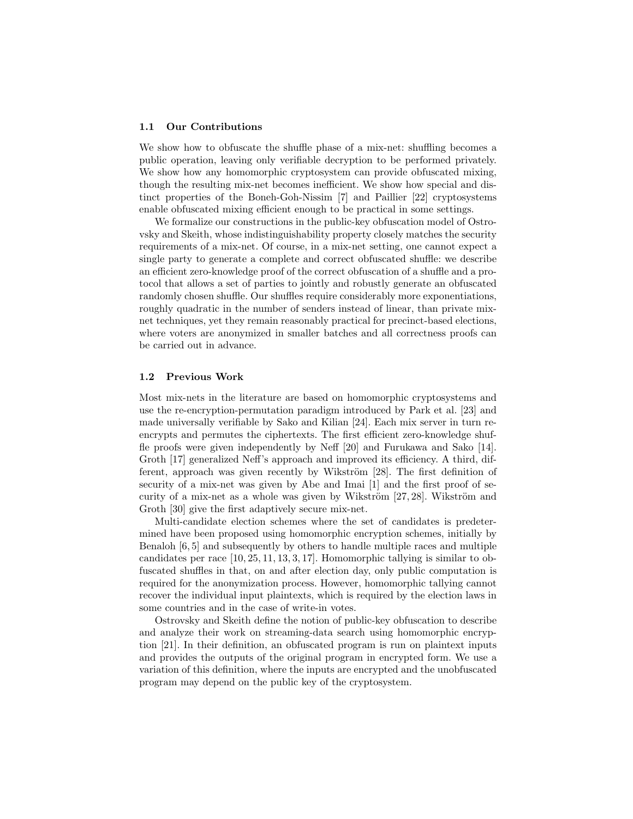### 1.1 Our Contributions

We show how to obfuscate the shuffle phase of a mix-net: shuffling becomes a public operation, leaving only verifiable decryption to be performed privately. We show how any homomorphic cryptosystem can provide obfuscated mixing, though the resulting mix-net becomes inefficient. We show how special and distinct properties of the Boneh-Goh-Nissim [7] and Paillier [22] cryptosystems enable obfuscated mixing efficient enough to be practical in some settings.

We formalize our constructions in the public-key obfuscation model of Ostrovsky and Skeith, whose indistinguishability property closely matches the security requirements of a mix-net. Of course, in a mix-net setting, one cannot expect a single party to generate a complete and correct obfuscated shuffle: we describe an efficient zero-knowledge proof of the correct obfuscation of a shuffle and a protocol that allows a set of parties to jointly and robustly generate an obfuscated randomly chosen shuffle. Our shuffles require considerably more exponentiations, roughly quadratic in the number of senders instead of linear, than private mixnet techniques, yet they remain reasonably practical for precinct-based elections, where voters are anonymized in smaller batches and all correctness proofs can be carried out in advance.

#### 1.2 Previous Work

Most mix-nets in the literature are based on homomorphic cryptosystems and use the re-encryption-permutation paradigm introduced by Park et al. [23] and made universally verifiable by Sako and Kilian [24]. Each mix server in turn reencrypts and permutes the ciphertexts. The first efficient zero-knowledge shuffle proofs were given independently by Neff [20] and Furukawa and Sako [14]. Groth [17] generalized Neff's approach and improved its efficiency. A third, different, approach was given recently by Wikström  $[28]$ . The first definition of security of a mix-net was given by Abe and Imai [1] and the first proof of security of a mix-net as a whole was given by Wikström  $[27, 28]$ . Wikström and Groth [30] give the first adaptively secure mix-net.

Multi-candidate election schemes where the set of candidates is predetermined have been proposed using homomorphic encryption schemes, initially by Benaloh [6, 5] and subsequently by others to handle multiple races and multiple candidates per race [10, 25, 11, 13, 3, 17]. Homomorphic tallying is similar to obfuscated shuffles in that, on and after election day, only public computation is required for the anonymization process. However, homomorphic tallying cannot recover the individual input plaintexts, which is required by the election laws in some countries and in the case of write-in votes.

Ostrovsky and Skeith define the notion of public-key obfuscation to describe and analyze their work on streaming-data search using homomorphic encryption [21]. In their definition, an obfuscated program is run on plaintext inputs and provides the outputs of the original program in encrypted form. We use a variation of this definition, where the inputs are encrypted and the unobfuscated program may depend on the public key of the cryptosystem.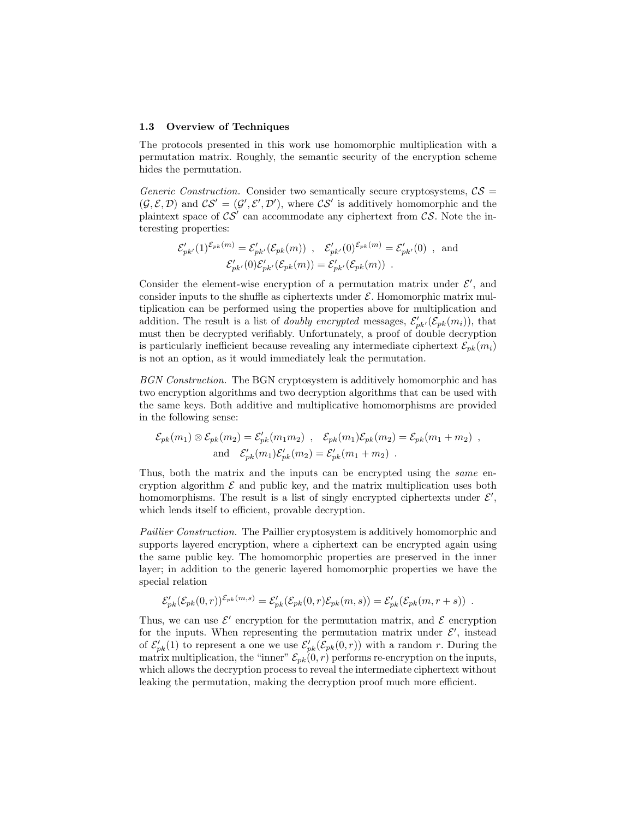#### 1.3 Overview of Techniques

The protocols presented in this work use homomorphic multiplication with a permutation matrix. Roughly, the semantic security of the encryption scheme hides the permutation.

Generic Construction. Consider two semantically secure cryptosystems,  $\mathcal{CS}$  =  $(\mathcal{G}, \mathcal{E}, \mathcal{D})$  and  $\mathcal{CS}' = (\mathcal{G}', \mathcal{E}', \mathcal{D}')$ , where  $\mathcal{CS}'$  is additively homomorphic and the plaintext space of  $\mathcal{CS}'$  can accommodate any ciphertext from  $\mathcal{CS}$ . Note the interesting properties:

$$
\mathcal{E}'_{pk'}(1)^{\mathcal{E}_{pk}(m)} = \mathcal{E}'_{pk'}(\mathcal{E}_{pk}(m)) , \quad \mathcal{E}'_{pk'}(0)^{\mathcal{E}_{pk}(m)} = \mathcal{E}'_{pk'}(0) , \text{ and}
$$
  

$$
\mathcal{E}'_{pk'}(0) \mathcal{E}'_{pk'}(\mathcal{E}_{pk}(m)) = \mathcal{E}'_{pk'}(\mathcal{E}_{pk}(m)) .
$$

Consider the element-wise encryption of a permutation matrix under  $\mathcal{E}'$ , and consider inputs to the shuffle as ciphertexts under  $\mathcal{E}$ . Homomorphic matrix multiplication can be performed using the properties above for multiplication and addition. The result is a list of *doubly encrypted* messages,  $\mathcal{E}'_{pk'}(\mathcal{E}_{pk}(m_i))$ , that must then be decrypted verifiably. Unfortunately, a proof of double decryption is particularly inefficient because revealing any intermediate ciphertext  $\mathcal{E}_{nk}(m_i)$ is not an option, as it would immediately leak the permutation.

BGN Construction. The BGN cryptosystem is additively homomorphic and has two encryption algorithms and two decryption algorithms that can be used with the same keys. Both additive and multiplicative homomorphisms are provided in the following sense:

$$
\mathcal{E}_{pk}(m_1) \otimes \mathcal{E}_{pk}(m_2) = \mathcal{E}'_{pk}(m_1 m_2) , \quad \mathcal{E}_{pk}(m_1) \mathcal{E}_{pk}(m_2) = \mathcal{E}_{pk}(m_1 + m_2) ,
$$
  
and 
$$
\mathcal{E}'_{pk}(m_1) \mathcal{E}'_{pk}(m_2) = \mathcal{E}'_{pk}(m_1 + m_2) .
$$

Thus, both the matrix and the inputs can be encrypted using the *same* encryption algorithm  $\mathcal E$  and public key, and the matrix multiplication uses both homomorphisms. The result is a list of singly encrypted ciphertexts under  $\mathcal{E}',$ which lends itself to efficient, provable decryption.

Paillier Construction. The Paillier cryptosystem is additively homomorphic and supports layered encryption, where a ciphertext can be encrypted again using the same public key. The homomorphic properties are preserved in the inner layer; in addition to the generic layered homomorphic properties we have the special relation

$$
\mathcal{E}'_{pk}(\mathcal{E}_{pk}(0,r))^{\mathcal{E}_{pk}(m,s)} = \mathcal{E}'_{pk}(\mathcal{E}_{pk}(0,r)\mathcal{E}_{pk}(m,s)) = \mathcal{E}'_{pk}(\mathcal{E}_{pk}(m,r+s)) .
$$

Thus, we can use  $\mathcal{E}'$  encryption for the permutation matrix, and  $\mathcal{E}$  encryption for the inputs. When representing the permutation matrix under  $\mathcal{E}'$ , instead of  $\mathcal{E}'_{pk}(1)$  to represent a one we use  $\mathcal{E}'_{pk}(\mathcal{E}_{pk}(0,r))$  with a random r. During the matrix multiplication, the "inner"  $\mathcal{E}_{pk}(0,r)$  performs re-encryption on the inputs, which allows the decryption process to reveal the intermediate ciphertext without leaking the permutation, making the decryption proof much more efficient.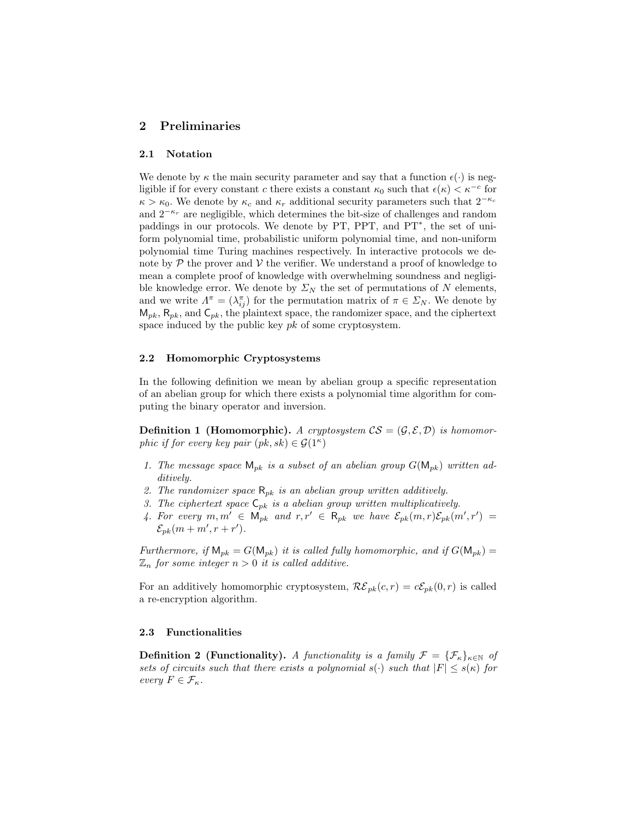# 2 Preliminaries

### 2.1 Notation

We denote by  $\kappa$  the main security parameter and say that a function  $\epsilon(\cdot)$  is negligible if for every constant c there exists a constant  $\kappa_0$  such that  $\epsilon(\kappa) < \kappa^{-c}$  for  $\kappa > \kappa_0$ . We denote by  $\kappa_c$  and  $\kappa_r$  additional security parameters such that  $2^{-\kappa_c}$ and  $2^{-\kappa_r}$  are negligible, which determines the bit-size of challenges and random paddings in our protocols. We denote by PT, PPT, and PT<sup>∗</sup> , the set of uniform polynomial time, probabilistic uniform polynomial time, and non-uniform polynomial time Turing machines respectively. In interactive protocols we denote by  $\mathcal P$  the prover and  $\mathcal V$  the verifier. We understand a proof of knowledge to mean a complete proof of knowledge with overwhelming soundness and negligible knowledge error. We denote by  $\Sigma_N$  the set of permutations of N elements, and we write  $\Lambda^{\pi} = (\lambda_{ij}^{\pi})$  for the permutation matrix of  $\pi \in \Sigma_N$ . We denote by  $\mathsf{M}_{pk}, \mathsf{R}_{pk}, \text{ and } \mathsf{C}_{pk},$  the plaintext space, the randomizer space, and the ciphertext space induced by the public key  $pk$  of some cryptosystem.

### 2.2 Homomorphic Cryptosystems

In the following definition we mean by abelian group a specific representation of an abelian group for which there exists a polynomial time algorithm for computing the binary operator and inversion.

**Definition 1 (Homomorphic).** A cryptosystem  $CS = (\mathcal{G}, \mathcal{E}, \mathcal{D})$  is homomorphic if for every key pair  $(pk, sk) \in \mathcal{G}(1^{\kappa})$ 

- 1. The message space  $M_{pk}$  is a subset of an abelian group  $G(M_{pk})$  written additively.
- 2. The randomizer space  $\mathsf{R}_{pk}$  is an abelian group written additively.
- 3. The ciphertext space  $C_{pk}$  is a abelian group written multiplicatively.
- 4. For every  $m, m' \in M_{pk}$  and  $r, r' \in R_{pk}$  we have  $\mathcal{E}_{pk}(m, r)\mathcal{E}_{pk}(m', r') =$  $\mathcal{E}_{pk}(m+m',r+r')$ .

Furthermore, if  $M_{pk} = G(M_{pk})$  it is called fully homomorphic, and if  $G(M_{pk}) =$  $\mathbb{Z}_n$  for some integer  $n > 0$  it is called additive.

For an additively homomorphic cryptosystem,  $\mathcal{RE}_{pk}(c, r) = c\mathcal{E}_{pk}(0, r)$  is called a re-encryption algorithm.

### 2.3 Functionalities

**Definition 2 (Functionality).** A functionality is a family  $\mathcal{F} = {\{\mathcal{F}_{\kappa}\}}_{\kappa \in \mathbb{N}}$  of sets of circuits such that there exists a polynomial  $s(\cdot)$  such that  $|F| \leq s(\kappa)$  for every  $F \in \mathcal{F}_{\kappa}$ .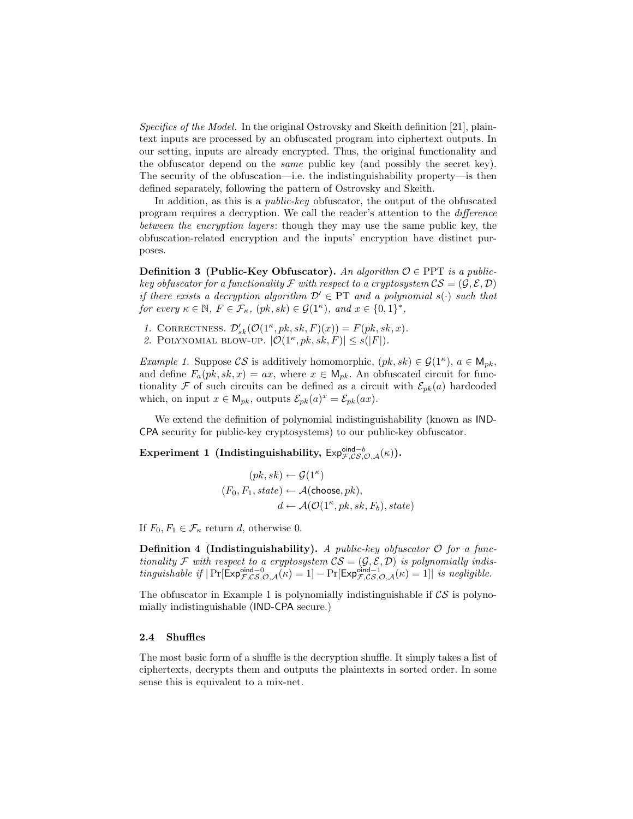Specifics of the Model. In the original Ostrovsky and Skeith definition [21], plaintext inputs are processed by an obfuscated program into ciphertext outputs. In our setting, inputs are already encrypted. Thus, the original functionality and the obfuscator depend on the same public key (and possibly the secret key). The security of the obfuscation—i.e. the indistinguishability property—is then defined separately, following the pattern of Ostrovsky and Skeith.

In addition, as this is a public-key obfuscator, the output of the obfuscated program requires a decryption. We call the reader's attention to the difference between the encryption layers: though they may use the same public key, the obfuscation-related encryption and the inputs' encryption have distinct purposes.

**Definition 3 (Public-Key Obfuscator).** An algorithm  $\mathcal{O} \in \text{PPT}$  is a publickey obfuscator for a functionality F with respect to a cryptosystem  $CS = (\mathcal{G}, \mathcal{E}, \mathcal{D})$ if there exists a decryption algorithm  $\mathcal{D}' \in PT$  and a polynomial  $s(\cdot)$  such that for every  $\kappa \in \mathbb{N}$ ,  $F \in \mathcal{F}_{\kappa}$ ,  $(pk, sk) \in \mathcal{G}(1^{\kappa})$ , and  $x \in \{0, 1\}^*$ ,

1. CORRECTNESS.  $\mathcal{D}_{sk}'(\mathcal{O}(1^{\kappa},pk,sk,F)(x)) = F(pk, sk, x)$ .

2. POLYNOMIAL BLOW-UP.  $|\mathcal{O}(1^{\kappa},pk,sk,F)| \leq s(|F|)$ .

*Example 1.* Suppose  $CS$  is additively homomorphic,  $(pk, sk) \in \mathcal{G}(1^{\kappa})$ ,  $a \in \mathsf{M}_{pk}$ , and define  $F_a(pk, sk, x) = ax$ , where  $x \in M_{pk}$ . An obfuscated circuit for functionality F of such circuits can be defined as a circuit with  $\mathcal{E}_{pk}(a)$  hardcoded which, on input  $x \in M_{pk}$ , outputs  $\mathcal{E}_{pk}(a)^x = \mathcal{E}_{pk}(ax)$ .

We extend the definition of polynomial indistinguishability (known as IND-CPA security for public-key cryptosystems) to our public-key obfuscator.

Experiment 1 (Indistinguishability,  $\textsf{Exp}^{\textsf{oid}-b}_{\mathcal{F},\mathcal{CS},\mathcal{O},\mathcal{A}}(\kappa)$ ).

$$
(pk, sk) \leftarrow \mathcal{G}(1^{\kappa})
$$

$$
(F_0, F_1, state) \leftarrow \mathcal{A}(\text{choose}, pk),
$$

$$
d \leftarrow \mathcal{A}(\mathcal{O}(1^{\kappa}, pk, sk, F_b), state)
$$

If  $F_0, F_1 \in \mathcal{F}_\kappa$  return d, otherwise 0.

**Definition 4 (Indistinguishability).** A public-key obfuscator  $\mathcal{O}$  for a functionality F with respect to a cryptosystem  $CS = (G, \mathcal{E}, \mathcal{D})$  is polynomially indistinguishable if  $|\Pr[\mathsf{Exp}_{\mathcal{F},\mathcal{CS},\mathcal{O},\mathcal{A}}^{\mathsf{oid}-0}(\kappa)=1]-\Pr[\mathsf{Exp}_{\mathcal{F},\mathcal{CS},\mathcal{O},\mathcal{A}}^{\mathsf{oid}-1}(\kappa)=1]|$  is negligible.

The obfuscator in Example 1 is polynomially indistinguishable if  $\mathcal{CS}$  is polynomially indistinguishable (IND-CPA secure.)

### 2.4 Shuffles

The most basic form of a shuffle is the decryption shuffle. It simply takes a list of ciphertexts, decrypts them and outputs the plaintexts in sorted order. In some sense this is equivalent to a mix-net.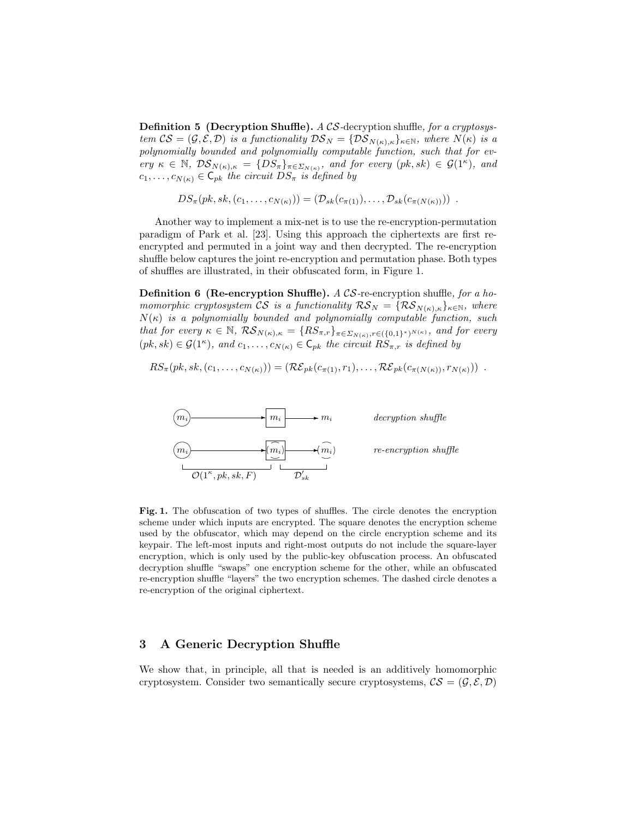**Definition 5 (Decryption Shuffle).** A CS-decryption shuffle, for a cryptosystem  $CS = (\mathcal{G}, \mathcal{E}, \mathcal{D})$  is a functionality  $\mathcal{DS}_N = \{ \mathcal{DS}_{N(\kappa), \kappa} \}_{\kappa \in \mathbb{N}}$ , where  $N(\kappa)$  is a polynomially bounded and polynomially computable function, such that for every  $\kappa \in \mathbb{N}, \ \mathcal{DS}_{N(\kappa),\kappa} = \{DS_{\pi}\}_{\pi \in \Sigma_{N(\kappa)}}, \text{ and for every } (pk, sk) \in \mathcal{G}(1^{\kappa}), \text{ and}$  $c_1, \ldots, c_{N(\kappa)} \in \mathsf{C}_{pk}$  the circuit  $DS_{\pi}$  is defined by

 $DS_{\pi}(pk, sk, (c_1, \ldots, c_{N(\kappa)})) = (\mathcal{D}_{sk}(c_{\pi(1)}), \ldots, \mathcal{D}_{sk}(c_{\pi(N(\kappa))}))$ .

Another way to implement a mix-net is to use the re-encryption-permutation paradigm of Park et al. [23]. Using this approach the ciphertexts are first reencrypted and permuted in a joint way and then decrypted. The re-encryption shuffle below captures the joint re-encryption and permutation phase. Both types of shuffles are illustrated, in their obfuscated form, in Figure 1.

**Definition 6 (Re-encryption Shuffle).**  $A \text{ } CS$ -re-encryption shuffle, for a homomorphic cryptosystem CS is a functionality  $\mathcal{RS}_N = \{ \mathcal{RS}_{N(\kappa),\kappa} \}_{\kappa \in \mathbb{N}}$ , where  $N(\kappa)$  is a polynomially bounded and polynomially computable function, such that for every  $\kappa \in \mathbb{N}$ ,  $\mathcal{RS}_{N(\kappa),\kappa} = \{RS_{\pi,r}\}_{\pi \in \Sigma_{N(\kappa)}, r \in (\{0,1\}^*)^{N(\kappa)}},$  and for every  $(pk, sk) \in \mathcal{G}(1^{\kappa}), \text{ and } c_1, \ldots, c_{N(\kappa)} \in \mathsf{C}_{pk}$  the circuit  $RS_{\pi,r}$  is defined by

 $RS_{\pi}(pk, sk, (c_1, \ldots, c_{N(\kappa)})) = (R\mathcal{E}_{pk}(c_{\pi(1)}, r_1), \ldots, R\mathcal{E}_{pk}(c_{\pi(N(\kappa))}, r_{N(\kappa)}))$ .



Fig. 1. The obfuscation of two types of shuffles. The circle denotes the encryption scheme under which inputs are encrypted. The square denotes the encryption scheme used by the obfuscator, which may depend on the circle encryption scheme and its keypair. The left-most inputs and right-most outputs do not include the square-layer encryption, which is only used by the public-key obfuscation process. An obfuscated decryption shuffle "swaps" one encryption scheme for the other, while an obfuscated re-encryption shuffle "layers" the two encryption schemes. The dashed circle denotes a re-encryption of the original ciphertext.

# 3 A Generic Decryption Shuffle

We show that, in principle, all that is needed is an additively homomorphic cryptosystem. Consider two semantically secure cryptosystems,  $\mathcal{CS} = (\mathcal{G}, \mathcal{E}, \mathcal{D})$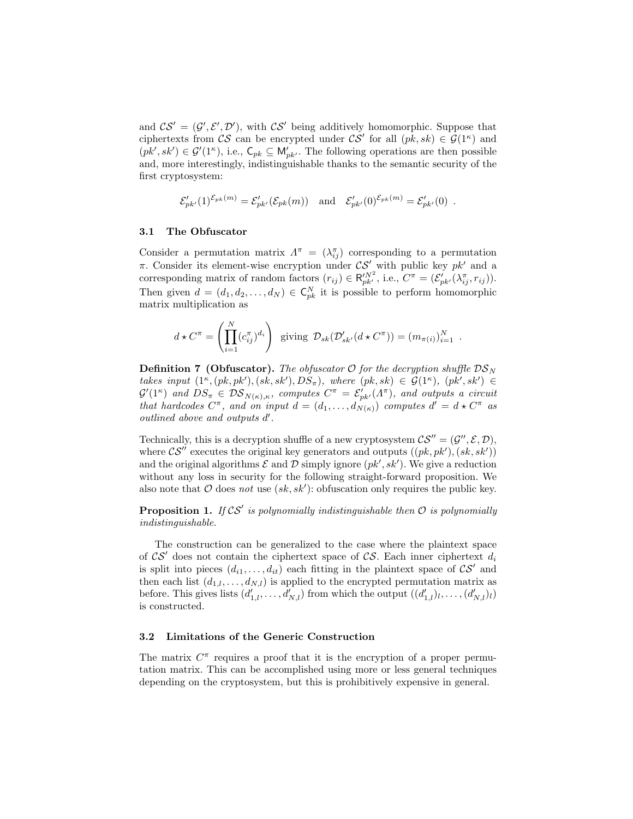and  $CS' = (G', \mathcal{E}', \mathcal{D}')$ , with  $CS'$  being additively homomorphic. Suppose that ciphertexts from CS can be encrypted under  $CS'$  for all  $(pk, sk) \in \mathcal{G}(1^{\kappa})$  and  $(pk', sk') \in \mathcal{G}'(1^{\kappa}),$  i.e.,  $\mathsf{C}_{pk} \subseteq \mathsf{M}'_{pk'}$ . The following operations are then possible and, more interestingly, indistinguishable thanks to the semantic security of the first cryptosystem:

$$
\mathcal{E}'_{pk'}(1)^{\mathcal{E}_{pk}(m)} = \mathcal{E}'_{pk'}(\mathcal{E}_{pk}(m)) \text{ and } \mathcal{E}'_{pk'}(0)^{\mathcal{E}_{pk}(m)} = \mathcal{E}'_{pk'}(0) .
$$

### 3.1 The Obfuscator

Consider a permutation matrix  $\Lambda^{\pi} = (\lambda_{ij}^{\pi})$  corresponding to a permutation  $\pi$ . Consider its element-wise encryption under  $\mathcal{CS}'$  with public key  $pk'$  and a corresponding matrix of random factors  $(r_{ij}) \in \mathsf{R}_{pk'}^{N^2}$ , i.e.,  $C^{\pi} = (\mathcal{E}_{pk'}^{'}(\lambda_{ij}^{\pi}, r_{ij}))$ . Then given  $d = (d_1, d_2, \ldots, d_N) \in \mathsf{C}_{pk}^N$  it is possible to perform homomorphic matrix multiplication as

$$
d \star C^{\pi} = \left( \prod_{i=1}^{N} (c_{ij}^{\pi})^{d_i} \right) \text{ giving } \mathcal{D}_{sk}(\mathcal{D}_{sk}' (d \star C^{\pi})) = (m_{\pi(i)})_{i=1}^{N} .
$$

**Definition 7 (Obfuscator).** The obfuscator  $\mathcal{O}$  for the decryption shuffle  $\mathcal{DS}_N$ takes input  $(1^{\kappa}, (pk, pk'), (sk, sk'), DS_{\pi}),$  where  $(pk, sk) \in \mathcal{G}(1^{\kappa}), (pk', sk') \in$  $\mathcal{G}'(1^{\kappa})$  and  $DS_{\pi} \in \mathcal{DS}_{N(\kappa),\kappa}$ , computes  $C^{\pi} = \mathcal{E}'_{pk'}(\Lambda^{\pi})$ , and outputs a circuit that hardcodes  $C^{\pi}$ , and on input  $d = (d_1, \ldots, d_{N(\kappa)})$  computes  $d' = d \star C^{\pi}$  as  $outlined$  above and outputs  $d'$ .

Technically, this is a decryption shuffle of a new cryptosystem  $CS'' = (G'', \mathcal{E}, \mathcal{D}),$ where  $\mathcal{CS}''$  executes the original key generators and outputs  $((pk, pk'),(sk, sk'))$ and the original algorithms  $\mathcal E$  and  $\mathcal D$  simply ignore  $(pk', sk')$ . We give a reduction without any loss in security for the following straight-forward proposition. We also note that  $O$  does not use  $(sk, sk')$ : obfuscation only requires the public key.

**Proposition 1.** If  $\mathcal{CS}'$  is polynomially indistinguishable then  $\mathcal O$  is polynomially indistinguishable.

The construction can be generalized to the case where the plaintext space of  $\mathcal{CS}'$  does not contain the ciphertext space of  $\mathcal{CS}$ . Each inner ciphertext  $d_i$ is split into pieces  $(d_{i1},...,d_{it})$  each fitting in the plaintext space of  $\mathcal{CS}'$  and then each list  $(d_{1,l},\ldots,d_{N,l})$  is applied to the encrypted permutation matrix as before. This gives lists  $(d'_{1,l},\ldots,d'_{N,l})$  from which the output  $((d'_{1,l})_l,\ldots,(d'_{N,l})_l)$ is constructed.

### 3.2 Limitations of the Generic Construction

The matrix  $C^{\pi}$  requires a proof that it is the encryption of a proper permutation matrix. This can be accomplished using more or less general techniques depending on the cryptosystem, but this is prohibitively expensive in general.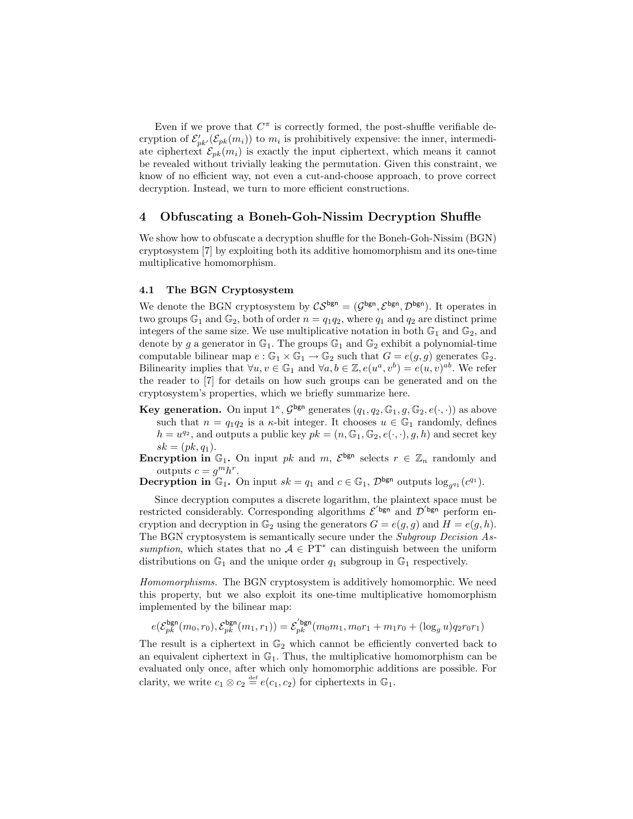Even if we prove that  $C^{\pi}$  is correctly formed, the post-shuffle verifiable decryption of  $\mathcal{E}'_{pk}(\mathcal{E}_{pk}(m_i))$  to  $m_i$  is prohibitively expensive: the inner, intermediate ciphertext  $\mathcal{E}_{pk}(m_i)$  is exactly the input ciphertext, which means it cannot be revealed without trivially leaking the permutation. Given this constraint, we know of no efficient way, not even a cut-and-choose approach, to prove correct decryption. Instead, we turn to more efficient constructions.

# 4 Obfuscating a Boneh-Goh-Nissim Decryption Shuffle

We show how to obfuscate a decryption shuffle for the Boneh-Goh-Nissim (BGN) cryptosystem [7] by exploiting both its additive homomorphism and its one-time multiplicative homomorphism.

### 4.1 The BGN Cryptosystem

We denote the BGN cryptosystem by  $\mathcal{CS}^{\text{bgn}} = (\mathcal{G}^{\text{bgn}}, \mathcal{E}^{\text{bgn}}, \mathcal{D}^{\text{bgn}})$ . It operates in two groups  $\mathbb{G}_1$  and  $\mathbb{G}_2$ , both of order  $n = q_1q_2$ , where  $q_1$  and  $q_2$  are distinct prime integers of the same size. We use multiplicative notation in both  $\mathbb{G}_1$  and  $\mathbb{G}_2$ , and denote by g a generator in  $\mathbb{G}_1$ . The groups  $\mathbb{G}_1$  and  $\mathbb{G}_2$  exhibit a polynomial-time computable bilinear map  $e : \mathbb{G}_1 \times \mathbb{G}_1 \to \mathbb{G}_2$  such that  $G = e(g, g)$  generates  $\mathbb{G}_2$ . Bilinearity implies that  $\forall u, v \in \mathbb{G}_1$  and  $\forall a, b \in \mathbb{Z}, e(u^a, v^b) = e(u, v)^{ab}$ . We refer the reader to [7] for details on how such groups can be generated and on the cryptosystem's properties, which we briefly summarize here.

**Key generation.** On input  $1^{\kappa}$ ,  $\mathcal{G}^{\text{bgn}}$  generates  $(q_1, q_2, \mathbb{G}_1, g, \mathbb{G}_2, e(\cdot, \cdot))$  as above such that  $n = q_1 q_2$  is a  $\kappa$ -bit integer. It chooses  $u \in \mathbb{G}_1$  randomly, defines  $h = u^{q_2}$ , and outputs a public key  $pk = (n, \mathbb{G}_1, \mathbb{G}_2, e(\cdot, \cdot), g, h)$  and secret key  $sk = (pk, q_1).$ 

**Encryption in**  $\mathbb{G}_1$ . On input pk and m,  $\mathcal{E}^{\text{bgn}}$  selects  $r \in \mathbb{Z}_n$  randomly and outputs  $c = g^m h^r$ .

**Decryption in**  $\mathbb{G}_1$ . On input  $sk = q_1$  and  $c \in \mathbb{G}_1$ ,  $\mathcal{D}^{\text{bgn}}$  outputs  $\log_{g^{q_1}}(c^{q_1})$ .

Since decryption computes a discrete logarithm, the plaintext space must be restricted considerably. Corresponding algorithms  $\mathcal{E}'^{bgn}$  and  $\mathcal{D}'^{bgn}$  perform encryption and decryption in  $\mathbb{G}_2$  using the generators  $G = e(g, g)$  and  $H = e(g, h)$ . The BGN cryptosystem is semantically secure under the Subgroup Decision Assumption, which states that no  $A \in PT^*$  can distinguish between the uniform distributions on  $\mathbb{G}_1$  and the unique order  $q_1$  subgroup in  $\mathbb{G}_1$  respectively.

Homomorphisms. The BGN cryptosystem is additively homomorphic. We need this property, but we also exploit its one-time multiplicative homomorphism implemented by the bilinear map:

$$
e(\mathcal{E}_{pk}^{\text{bgn}}(m_0,r_0),\mathcal{E}_{pk}^{\text{bgn}}(m_1,r_1))=\mathcal{E}_{pk}^{'\text{bgn}}(m_0m_1,m_0r_1+m_1r_0+(\log_gu)q_2r_0r_1)
$$

The result is a ciphertext in  $\mathbb{G}_2$  which cannot be efficiently converted back to an equivalent ciphertext in  $\mathbb{G}_1$ . Thus, the multiplicative homomorphism can be evaluated only once, after which only homomorphic additions are possible. For clarity, we write  $c_1 \otimes c_2 \stackrel{\text{def}}{=} e(c_1, c_2)$  for ciphertexts in  $\mathbb{G}_1$ .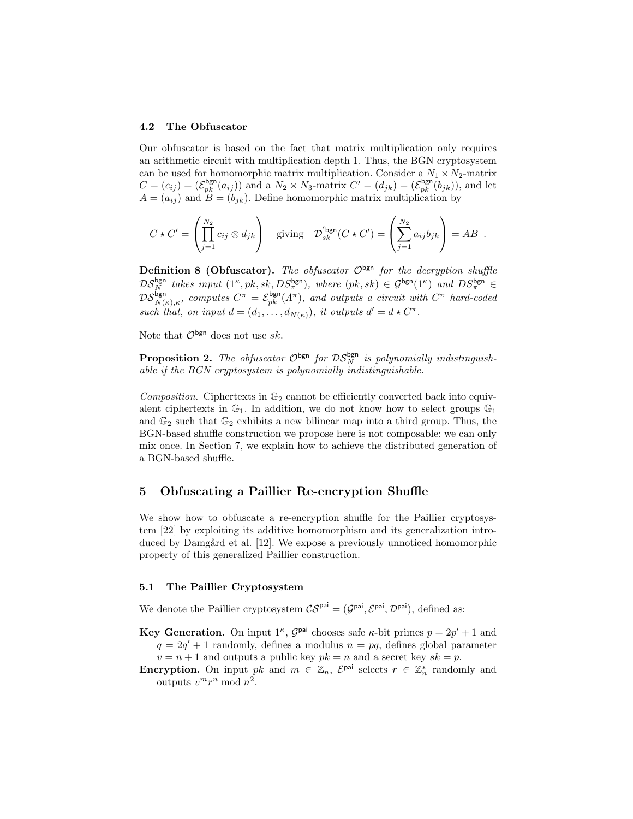### 4.2 The Obfuscator

Our obfuscator is based on the fact that matrix multiplication only requires an arithmetic circuit with multiplication depth 1. Thus, the BGN cryptosystem can be used for homomorphic matrix multiplication. Consider a  $N_1 \times N_2$ -matrix  $C = (c_{ij}) = (\mathcal{E}_{pk}^{\text{bgn}}(a_{ij}))$  and a  $N_2 \times N_3$ -matrix  $C' = (d_{jk}) = (\mathcal{E}_{pk}^{\text{bgn}}(b_{jk}))$ , and let  $A = (a_{ij})$  and  $B = (b_{jk})$ . Define homomorphic matrix multiplication by

$$
C \star C' = \left( \prod_{j=1}^{N_2} c_{ij} \otimes d_{jk} \right) \text{ giving } \mathcal{D}'_{sk}^{\text{bgn}}(C \star C') = \left( \sum_{j=1}^{N_2} a_{ij} b_{jk} \right) = AB .
$$

**Definition 8 (Obfuscator).** The obfuscator  $\mathcal{O}^{\text{bgn}}$  for the decryption shuffle  $DS_N^{\text{bgn}}$  takes input  $(1^{\kappa}, pk, sk, DS_{\pi}^{\text{bgn}})$ , where  $(pk, sk) \in \mathcal{G}^{\text{bgn}}(1^{\kappa})$  and  $DS_{\pi}^{\text{bgn}} \in$  $DS_{N(\kappa),\kappa}^{\text{bgn}},$  computes  $C^{\pi} = \mathcal{E}_{pk}^{\text{bgn}}(\Lambda^{\pi}),$  and outputs a circuit with  $C^{\pi}$  hard-coded such that, on input  $d = (d_1, \ldots, d_{N(\kappa)})$ , it outputs  $d' = d \star C^{\pi}$ .

Note that  $\mathcal{O}^{\mathsf{bgn}}$  does not use sk.

**Proposition 2.** The obfuscator  $\mathcal{O}^{bgn}$  for  $\mathcal{DS}_N^{bgn}$  is polynomially indistinguishable if the BGN cryptosystem is polynomially indistinguishable.

Composition. Ciphertexts in  $\mathbb{G}_2$  cannot be efficiently converted back into equivalent ciphertexts in  $\mathbb{G}_1$ . In addition, we do not know how to select groups  $\mathbb{G}_1$ and  $\mathbb{G}_2$  such that  $\mathbb{G}_2$  exhibits a new bilinear map into a third group. Thus, the BGN-based shuffle construction we propose here is not composable: we can only mix once. In Section 7, we explain how to achieve the distributed generation of a BGN-based shuffle.

# 5 Obfuscating a Paillier Re-encryption Shuffle

We show how to obfuscate a re-encryption shuffle for the Paillier cryptosystem [22] by exploiting its additive homomorphism and its generalization introduced by Damgård et al. [12]. We expose a previously unnoticed homomorphic property of this generalized Paillier construction.

### 5.1 The Paillier Cryptosystem

We denote the Paillier cryptosystem  $\mathcal{CS}^{pai} = (\mathcal{G}^{pai}, \mathcal{E}^{pai}, \mathcal{D}^{pai})$ , defined as:

- **Key Generation.** On input  $1^{\kappa}$ ,  $\mathcal{G}^{\text{pair}}$  chooses safe  $\kappa$ -bit primes  $p = 2p' + 1$  and  $q = 2q' + 1$  randomly, defines a modulus  $n = pq$ , defines global parameter  $v = n + 1$  and outputs a public key  $pk = n$  and a secret key  $sk = p$ .
- **Encryption.** On input pk and  $m \in \mathbb{Z}_n$ ,  $\mathcal{E}^{\text{pai}}$  selects  $r \in \mathbb{Z}_n^*$  randomly and outputs  $v^m r^n \bmod n^2$ .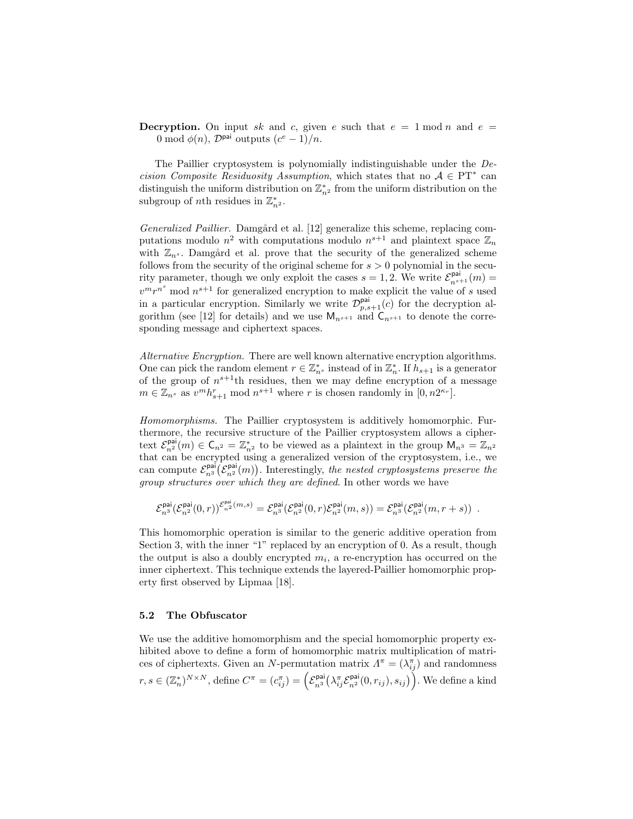**Decryption.** On input sk and c, given e such that  $e = 1 \mod n$  and  $e =$ 0 mod  $\phi(n)$ ,  $\mathcal{D}^{\text{pai}}$  outputs  $(c^e-1)/n$ .

The Paillier cryptosystem is polynomially indistinguishable under the Decision Composite Residuosity Assumption, which states that no  $A \in PT^*$  can distinguish the uniform distribution on  $\mathbb{Z}_{n^2}^*$  from the uniform distribution on the subgroup of *nth* residues in  $\mathbb{Z}_{n^2}^*$ .

Generalized Paillier. Damgård et al. [12] generalize this scheme, replacing computations modulo  $n^2$  with computations modulo  $n^{s+1}$  and plaintext space  $\mathbb{Z}_n$ with  $\mathbb{Z}_{n^s}$ . Damgård et al. prove that the security of the generalized scheme follows from the security of the original scheme for  $s > 0$  polynomial in the security parameter, though we only exploit the cases  $s = 1, 2$ . We write  $\mathcal{E}_{n^{s+1}}^{\text{pai}}(m) =$  $v^m r^{n^s}$  mod  $n^{s+1}$  for generalized encryption to make explicit the value of s used in a particular encryption. Similarly we write  $\mathcal{D}_{p,s+1}^{\text{pai}}(c)$  for the decryption algorithm (see [12] for details) and we use  $M_{n^{s+1}}$  and  $C_{n^{s+1}}$  to denote the corresponding message and ciphertext spaces.

Alternative Encryption. There are well known alternative encryption algorithms. One can pick the random element  $r \in \mathbb{Z}_{n^s}^*$  instead of in  $\mathbb{Z}_n^*$ . If  $h_{s+1}$  is a generator of the group of  $n^{s+1}$ th residues, then we may define encryption of a message  $m \in \mathbb{Z}_{n^s}$  as  $v^m h_{s+1}^r \mod n^{s+1}$  where r is chosen randomly in  $[0, n2^{\kappa_r}]$ .

Homomorphisms. The Paillier cryptosystem is additively homomorphic. Furthermore, the recursive structure of the Paillier cryptosystem allows a ciphertext  $\mathcal{E}_{n^2}^{\text{pai}}(m) \in \mathsf{C}_{n^2} = \mathbb{Z}_{n^2}^*$  to be viewed as a plaintext in the group  $\mathsf{M}_{n^3} = \mathbb{Z}_{n^2}$ that can be encrypted using a generalized version of the cryptosystem, i.e., we can compute  $\mathcal{E}_{n^3}^{\text{pai}}(\mathcal{E}_{n^2}^{\text{pai}}(m))$ . Interestingly, the nested cryptosystems preserve the group structures over which they are defined. In other words we have

$$
\mathcal{E}^{\text{pai}}_{n^3}(\mathcal{E}^{\text{pai}}_{n^2}(0,r))^{\mathcal{E}^{\text{pai}}_{n^2}(m,s)}=\mathcal{E}^{\text{pai}}_{n^3}(\mathcal{E}^{\text{pai}}_{n^2}(0,r)\mathcal{E}^{\text{pai}}_{n^2}(m,s))=\mathcal{E}^{\text{pai}}_{n^3}(\mathcal{E}^{\text{pai}}_{n^2}(m,r+s))\enspace.
$$

This homomorphic operation is similar to the generic additive operation from Section 3, with the inner "1" replaced by an encryption of 0. As a result, though the output is also a doubly encrypted  $m_i$ , a re-encryption has occurred on the inner ciphertext. This technique extends the layered-Paillier homomorphic property first observed by Lipmaa [18].

### 5.2 The Obfuscator

We use the additive homomorphism and the special homomorphic property exhibited above to define a form of homomorphic matrix multiplication of matrices of ciphertexts. Given an N-permutation matrix  $\Lambda^{\pi} = (\lambda_{ij}^{\pi})$  and randomness  $r, s \in (\mathbb{Z}_n^*)^{N \times N}$ , define  $C^{\pi} = (c_{ij}^{\pi}) = \left(\mathcal{E}_{n^3}^{\text{pai}}(\lambda_{ij}^{\pi}\mathcal{E}_{n^2}^{\text{pai}}(0,r_{ij}),s_{ij})\right)$ . We define a kind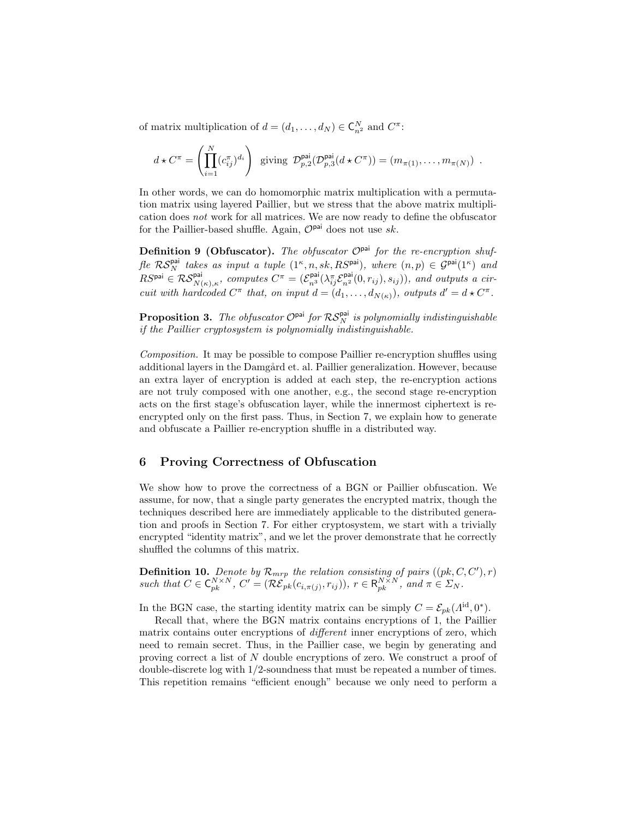of matrix multiplication of  $d = (d_1, \ldots, d_N) \in \mathsf{C}_{n^2}^N$  and  $C^{\pi}$ :

$$
d \star C^{\pi} = \left( \prod_{i=1}^{N} (c_{ij}^{\pi})^{d_i} \right) \text{ giving } \mathcal{D}_{p,2}^{\text{pai}}(\mathcal{D}_{p,3}^{\text{pai}}(d \star C^{\pi})) = (m_{\pi(1)}, \dots, m_{\pi(N)}) .
$$

In other words, we can do homomorphic matrix multiplication with a permutation matrix using layered Paillier, but we stress that the above matrix multiplication does not work for all matrices. We are now ready to define the obfuscator for the Paillier-based shuffle. Again,  $\mathcal{O}^{pai}$  does not use sk.

Definition 9 (Obfuscator). The obfuscator  $\mathcal{O}^{pai}$  for the re-encryption shuf- $\text{fle } \mathcal{RS}_N^{\textsf{pai}}$  takes as input a tuple  $(1^{\kappa}, n, sk, RS^{\textsf{pai}})$ , where  $(n, p) \in \mathcal{G}^{\textsf{pai}}(1^{\kappa})$  and  $RS^{\text{pai}} \in \mathcal{RS}_{N(\kappa),\kappa}^{\text{pai}},$  computes  $C^{\pi} = (\mathcal{E}_{n^3}^{\text{pai}}(\lambda_{ij}^{\pi}\mathcal{E}_{n^2}^{\text{pai}}(0,r_{ij}),s_{ij}))$ , and outputs a circuit with hardcoded  $C^{\pi}$  that, on input  $d = (d_1, \ldots, d_{N(\kappa)})$ , outputs  $d' = d \star C^{\pi}$ .

**Proposition 3.** The obfuscator  $\mathcal{O}^{pai}$  for  $\mathcal{RS}_N^{pai}$  is polynomially indistinguishable if the Paillier cryptosystem is polynomially indistinguishable.

Composition. It may be possible to compose Paillier re-encryption shuffles using additional layers in the Damgård et. al. Paillier generalization. However, because an extra layer of encryption is added at each step, the re-encryption actions are not truly composed with one another, e.g., the second stage re-encryption acts on the first stage's obfuscation layer, while the innermost ciphertext is reencrypted only on the first pass. Thus, in Section 7, we explain how to generate and obfuscate a Paillier re-encryption shuffle in a distributed way.

# 6 Proving Correctness of Obfuscation

We show how to prove the correctness of a BGN or Paillier obfuscation. We assume, for now, that a single party generates the encrypted matrix, though the techniques described here are immediately applicable to the distributed generation and proofs in Section 7. For either cryptosystem, we start with a trivially encrypted "identity matrix", and we let the prover demonstrate that he correctly shuffled the columns of this matrix.

**Definition 10.** Denote by  $\mathcal{R}_{mrp}$  the relation consisting of pairs  $((pk, C, C'), r)$ such that  $C \in \mathsf{C}_{pk}^{N \times N}$ ,  $C' = (\mathcal{RE}_{pk}(c_{i,\pi(j)}, r_{ij}))$ ,  $r \in \mathsf{R}_{pk}^{N \times N}$ , and  $\pi \in \Sigma_N$ .

In the BGN case, the starting identity matrix can be simply  $C = \mathcal{E}_{pk}(\Lambda^{id}, 0^*)$ .

Recall that, where the BGN matrix contains encryptions of 1, the Paillier matrix contains outer encryptions of different inner encryptions of zero, which need to remain secret. Thus, in the Paillier case, we begin by generating and proving correct a list of N double encryptions of zero. We construct a proof of double-discrete log with 1/2-soundness that must be repeated a number of times. This repetition remains "efficient enough" because we only need to perform a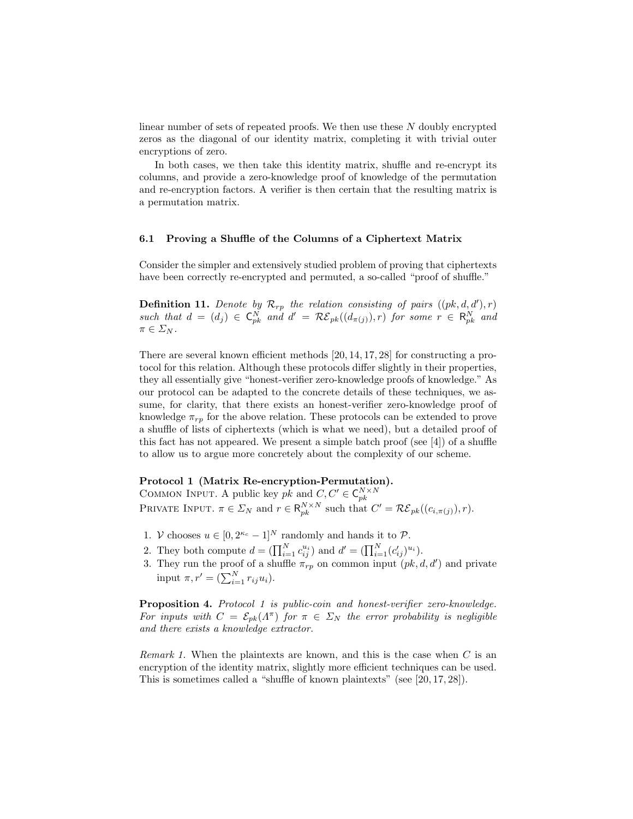linear number of sets of repeated proofs. We then use these N doubly encrypted zeros as the diagonal of our identity matrix, completing it with trivial outer encryptions of zero.

In both cases, we then take this identity matrix, shuffle and re-encrypt its columns, and provide a zero-knowledge proof of knowledge of the permutation and re-encryption factors. A verifier is then certain that the resulting matrix is a permutation matrix.

### 6.1 Proving a Shuffle of the Columns of a Ciphertext Matrix

Consider the simpler and extensively studied problem of proving that ciphertexts have been correctly re-encrypted and permuted, a so-called "proof of shuffle."

**Definition 11.** Denote by  $\mathcal{R}_{rp}$  the relation consisting of pairs  $((pk, d, d'), r)$ such that  $d = (d_j) \in \mathsf{C}_{pk}^N$  and  $d' = \mathcal{RE}_{pk}((d_{\pi(j)}), r)$  for some  $r \in \mathsf{R}_{pk}^N$  and  $\pi \in \varSigma_N$ .

There are several known efficient methods [20, 14, 17, 28] for constructing a protocol for this relation. Although these protocols differ slightly in their properties, they all essentially give "honest-verifier zero-knowledge proofs of knowledge." As our protocol can be adapted to the concrete details of these techniques, we assume, for clarity, that there exists an honest-verifier zero-knowledge proof of knowledge  $\pi_{rp}$  for the above relation. These protocols can be extended to prove a shuffle of lists of ciphertexts (which is what we need), but a detailed proof of this fact has not appeared. We present a simple batch proof (see  $[4]$ ) of a shuffle to allow us to argue more concretely about the complexity of our scheme.

# Protocol 1 (Matrix Re-encryption-Permutation).

COMMON INPUT. A public key  $pk$  and  $C, C' \in \mathsf{C}_{pk}^{N \times N}$ <br>PRIVATE INPUT.  $\pi \in \Sigma_N$  and  $r \in \mathsf{R}_{pk}^{N \times N}$  such that  $C' = \mathcal{RE}_{pk}((c_{i,\pi(j)}), r)$ .

- 1. V chooses  $u \in [0, 2^{\kappa_c} 1]^N$  randomly and hands it to  $\mathcal{P}$ .
- 2. They both compute  $d = (\prod_{i=1}^{N} c_{ij}^{u_i})$  and  $d' = (\prod_{i=1}^{N} (c'_{ij})^{u_i})$ .
- 3. They run the proof of a shuffle  $\pi_{rp}$  on common input  $(pk, d, d')$  and private input  $\pi, r' = (\sum_{i=1}^N r_{ij} u_i).$

Proposition 4. Protocol 1 is public-coin and honest-verifier zero-knowledge. For inputs with  $C = \mathcal{E}_{pk}(\Lambda^{\pi})$  for  $\pi \in \Sigma_N$  the error probability is negligible and there exists a knowledge extractor.

*Remark 1.* When the plaintexts are known, and this is the case when  $C$  is an encryption of the identity matrix, slightly more efficient techniques can be used. This is sometimes called a "shuffle of known plaintexts" (see [20, 17, 28]).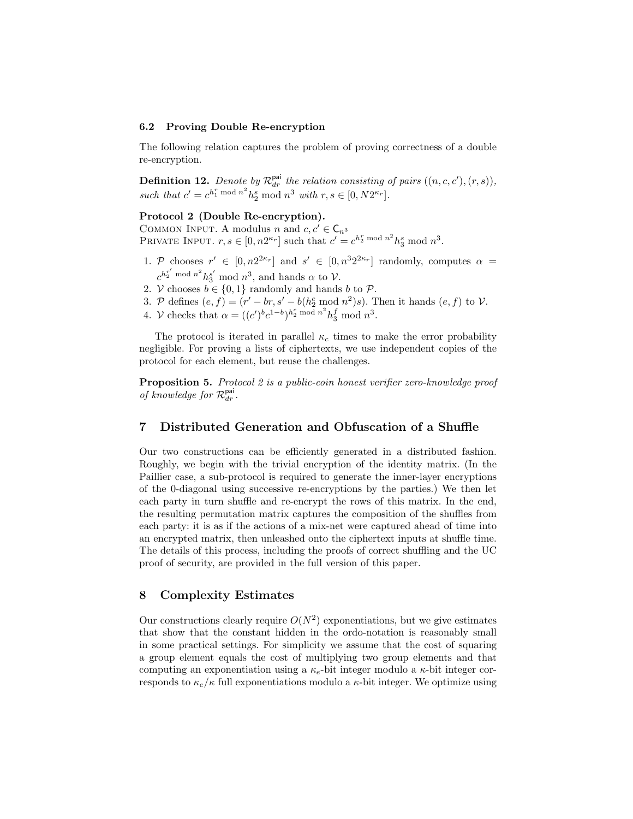#### 6.2 Proving Double Re-encryption

The following relation captures the problem of proving correctness of a double re-encryption.

**Definition 12.** Denote by  $\mathcal{R}_{dr}^{\text{pai}}$  the relation consisting of pairs  $((n, c, c'), (r, s)),$ such that  $c' = c^{h_1^r \bmod n^2} h_2^s \bmod n^3$  with  $r, s \in [0, N2^{\kappa_r}].$ 

### Protocol 2 (Double Re-encryption).

COMMON INPUT. A modulus n and  $c, c' \in \mathsf{C}_{n^3}$ PRIVATE INPUT.  $r, s \in [0, n2^{\kappa_r}]$  such that  $c' = c^{h_2^r \bmod n^2} h_3^s \bmod n^3$ .

- 1. P chooses  $r' \in [0, n2^{2\kappa_r}]$  and  $s' \in [0, n^3 2^{2\kappa_r}]$  randomly, computes  $\alpha =$  $c^{h_2^{r'}}$  mod  $n^2 h_3^{s'}$  mod  $n^3$ , and hands  $\alpha$  to  $\mathcal{V}$ .
- 2. V chooses  $b \in \{0,1\}$  randomly and hands b to  $\mathcal{P}$ .
- 3. P defines  $(e, f) = (r' br, s' b(h_2^e \mod n^2)s)$ . Then it hands  $(e, f)$  to V.
- 4. V checks that  $\alpha = ((c')^b c^{1-b})^{h_2^e \bmod n^2} h_3^f \bmod n^3$ .

The protocol is iterated in parallel  $\kappa_c$  times to make the error probability negligible. For proving a lists of ciphertexts, we use independent copies of the protocol for each element, but reuse the challenges.

Proposition 5. Protocol 2 is a public-coin honest verifier zero-knowledge proof of knowledge for  $\mathcal{R}_{dr}^{\text{pai}}$ .

# 7 Distributed Generation and Obfuscation of a Shuffle

Our two constructions can be efficiently generated in a distributed fashion. Roughly, we begin with the trivial encryption of the identity matrix. (In the Paillier case, a sub-protocol is required to generate the inner-layer encryptions of the 0-diagonal using successive re-encryptions by the parties.) We then let each party in turn shuffle and re-encrypt the rows of this matrix. In the end, the resulting permutation matrix captures the composition of the shuffles from each party: it is as if the actions of a mix-net were captured ahead of time into an encrypted matrix, then unleashed onto the ciphertext inputs at shuffle time. The details of this process, including the proofs of correct shuffling and the UC proof of security, are provided in the full version of this paper.

# 8 Complexity Estimates

Our constructions clearly require  $O(N^2)$  exponentiations, but we give estimates that show that the constant hidden in the ordo-notation is reasonably small in some practical settings. For simplicity we assume that the cost of squaring a group element equals the cost of multiplying two group elements and that computing an exponentiation using a  $\kappa_e$ -bit integer modulo a  $\kappa$ -bit integer corresponds to  $\kappa_e/\kappa$  full exponentiations modulo a  $\kappa$ -bit integer. We optimize using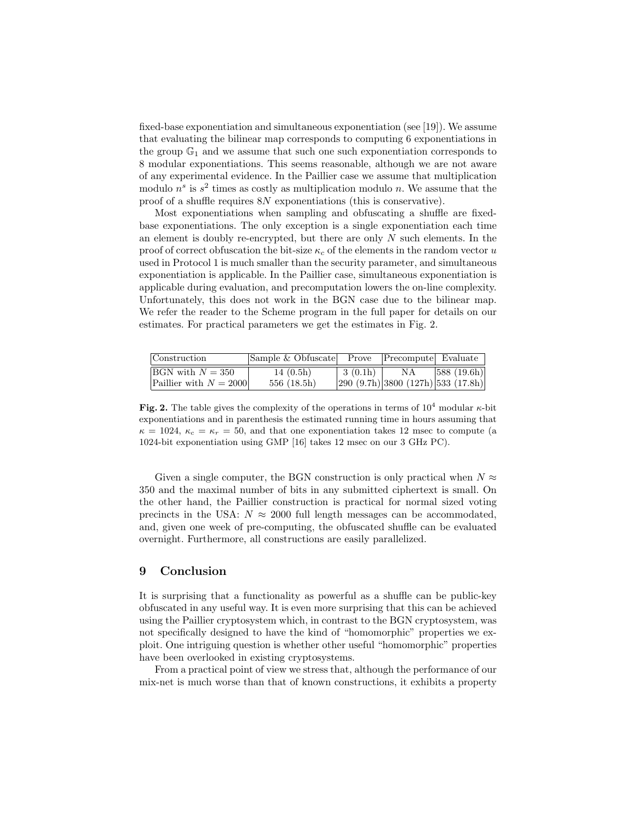fixed-base exponentiation and simultaneous exponentiation (see [19]). We assume that evaluating the bilinear map corresponds to computing 6 exponentiations in the group  $\mathbb{G}_1$  and we assume that such one such exponentiation corresponds to 8 modular exponentiations. This seems reasonable, although we are not aware of any experimental evidence. In the Paillier case we assume that multiplication modulo  $n^s$  is  $s^2$  times as costly as multiplication modulo n. We assume that the proof of a shuffle requires 8N exponentiations (this is conservative).

Most exponentiations when sampling and obfuscating a shuffle are fixedbase exponentiations. The only exception is a single exponentiation each time an element is doubly re-encrypted, but there are only  $N$  such elements. In the proof of correct obfuscation the bit-size  $\kappa_c$  of the elements in the random vector u used in Protocol 1 is much smaller than the security parameter, and simultaneous exponentiation is applicable. In the Paillier case, simultaneous exponentiation is applicable during evaluation, and precomputation lowers the on-line complexity. Unfortunately, this does not work in the BGN case due to the bilinear map. We refer the reader to the Scheme program in the full paper for details on our estimates. For practical parameters we get the estimates in Fig. 2.

| Construction               | Sample & Obfuscate Prove Precompute Evaluate |         |                                    |            |
|----------------------------|----------------------------------------------|---------|------------------------------------|------------|
| $\text{BGN with } N = 350$ | 14(0.5h)                                     | 3(0.1h) | ΝA                                 | 588(19.6h) |
| Paillier with $N = 2000$   | 556(18.5h)                                   |         | 290 (9.7h) 3800 (127h) 533 (17.8h) |            |

Fig. 2. The table gives the complexity of the operations in terms of  $10^4$  modular  $\kappa$ -bit exponentiations and in parenthesis the estimated running time in hours assuming that  $\kappa = 1024$ ,  $\kappa_c = \kappa_r = 50$ , and that one exponentiation takes 12 msec to compute (a 1024-bit exponentiation using GMP [16] takes 12 msec on our 3 GHz PC).

Given a single computer, the BGN construction is only practical when  $N \approx$ 350 and the maximal number of bits in any submitted ciphertext is small. On the other hand, the Paillier construction is practical for normal sized voting precincts in the USA:  $N \approx 2000$  full length messages can be accommodated, and, given one week of pre-computing, the obfuscated shuffle can be evaluated overnight. Furthermore, all constructions are easily parallelized.

# 9 Conclusion

It is surprising that a functionality as powerful as a shuffle can be public-key obfuscated in any useful way. It is even more surprising that this can be achieved using the Paillier cryptosystem which, in contrast to the BGN cryptosystem, was not specifically designed to have the kind of "homomorphic" properties we exploit. One intriguing question is whether other useful "homomorphic" properties have been overlooked in existing cryptosystems.

From a practical point of view we stress that, although the performance of our mix-net is much worse than that of known constructions, it exhibits a property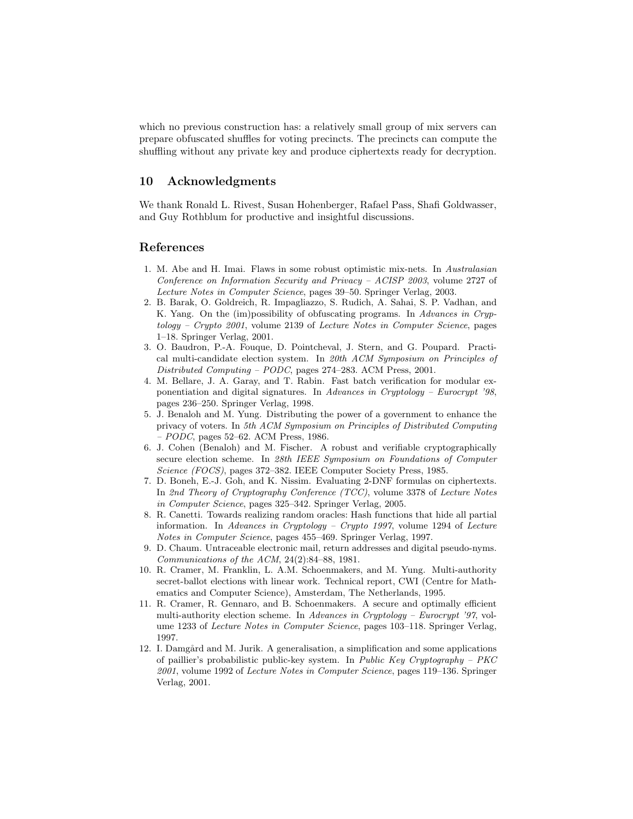which no previous construction has: a relatively small group of mix servers can prepare obfuscated shuffles for voting precincts. The precincts can compute the shuffling without any private key and produce ciphertexts ready for decryption.

# 10 Acknowledgments

We thank Ronald L. Rivest, Susan Hohenberger, Rafael Pass, Shafi Goldwasser, and Guy Rothblum for productive and insightful discussions.

# References

- 1. M. Abe and H. Imai. Flaws in some robust optimistic mix-nets. In Australasian Conference on Information Security and Privacy – ACISP 2003, volume 2727 of Lecture Notes in Computer Science, pages 39–50. Springer Verlag, 2003.
- 2. B. Barak, O. Goldreich, R. Impagliazzo, S. Rudich, A. Sahai, S. P. Vadhan, and K. Yang. On the (im)possibility of obfuscating programs. In Advances in Cryptology – Crypto 2001, volume 2139 of Lecture Notes in Computer Science, pages 1–18. Springer Verlag, 2001.
- 3. O. Baudron, P.-A. Fouque, D. Pointcheval, J. Stern, and G. Poupard. Practical multi-candidate election system. In 20th ACM Symposium on Principles of Distributed Computing – PODC, pages 274–283. ACM Press, 2001.
- 4. M. Bellare, J. A. Garay, and T. Rabin. Fast batch verification for modular exponentiation and digital signatures. In Advances in Cryptology – Eurocrypt '98, pages 236–250. Springer Verlag, 1998.
- 5. J. Benaloh and M. Yung. Distributing the power of a government to enhance the privacy of voters. In 5th ACM Symposium on Principles of Distributed Computing  $PODC$ , pages 52–62. ACM Press, 1986.
- 6. J. Cohen (Benaloh) and M. Fischer. A robust and verifiable cryptographically secure election scheme. In 28th IEEE Symposium on Foundations of Computer Science (FOCS), pages 372–382. IEEE Computer Society Press, 1985.
- 7. D. Boneh, E.-J. Goh, and K. Nissim. Evaluating 2-DNF formulas on ciphertexts. In 2nd Theory of Cryptography Conference (TCC), volume 3378 of Lecture Notes in Computer Science, pages 325–342. Springer Verlag, 2005.
- 8. R. Canetti. Towards realizing random oracles: Hash functions that hide all partial information. In Advances in Cryptology – Crypto 1997, volume 1294 of Lecture Notes in Computer Science, pages 455–469. Springer Verlag, 1997.
- 9. D. Chaum. Untraceable electronic mail, return addresses and digital pseudo-nyms. Communications of the ACM, 24(2):84–88, 1981.
- 10. R. Cramer, M. Franklin, L. A.M. Schoenmakers, and M. Yung. Multi-authority secret-ballot elections with linear work. Technical report, CWI (Centre for Mathematics and Computer Science), Amsterdam, The Netherlands, 1995.
- 11. R. Cramer, R. Gennaro, and B. Schoenmakers. A secure and optimally efficient multi-authority election scheme. In Advances in Cryptology – Eurocrypt '97, volume 1233 of Lecture Notes in Computer Science, pages 103–118. Springer Verlag, 1997.
- 12. I. Damgård and M. Jurik. A generalisation, a simplification and some applications of paillier's probabilistic public-key system. In Public Key Cryptography – PKC 2001, volume 1992 of Lecture Notes in Computer Science, pages 119–136. Springer Verlag, 2001.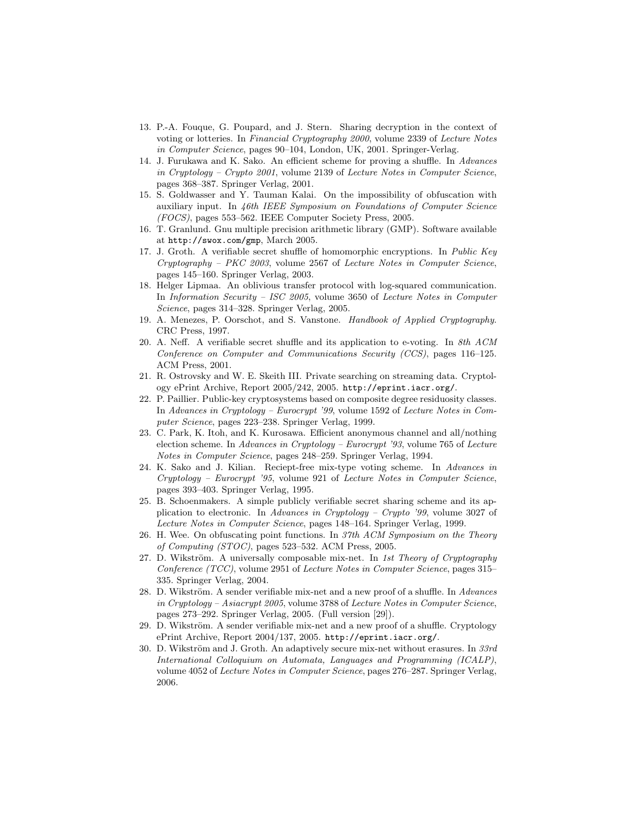- 13. P.-A. Fouque, G. Poupard, and J. Stern. Sharing decryption in the context of voting or lotteries. In Financial Cryptography 2000, volume 2339 of Lecture Notes in Computer Science, pages 90–104, London, UK, 2001. Springer-Verlag.
- 14. J. Furukawa and K. Sako. An efficient scheme for proving a shuffle. In Advances in Cryptology – Crypto 2001, volume 2139 of Lecture Notes in Computer Science, pages 368–387. Springer Verlag, 2001.
- 15. S. Goldwasser and Y. Tauman Kalai. On the impossibility of obfuscation with auxiliary input. In 46th IEEE Symposium on Foundations of Computer Science (FOCS), pages 553–562. IEEE Computer Society Press, 2005.
- 16. T. Granlund. Gnu multiple precision arithmetic library (GMP). Software available at http://swox.com/gmp, March 2005.
- 17. J. Groth. A verifiable secret shuffle of homomorphic encryptions. In Public Key Cryptography – PKC 2003, volume 2567 of Lecture Notes in Computer Science, pages 145–160. Springer Verlag, 2003.
- 18. Helger Lipmaa. An oblivious transfer protocol with log-squared communication. In Information Security – ISC 2005, volume 3650 of Lecture Notes in Computer Science, pages 314–328. Springer Verlag, 2005.
- 19. A. Menezes, P. Oorschot, and S. Vanstone. Handbook of Applied Cryptography. CRC Press, 1997.
- 20. A. Neff. A verifiable secret shuffle and its application to e-voting. In 8th ACM Conference on Computer and Communications Security (CCS), pages 116–125. ACM Press, 2001.
- 21. R. Ostrovsky and W. E. Skeith III. Private searching on streaming data. Cryptology ePrint Archive, Report 2005/242, 2005. http://eprint.iacr.org/.
- 22. P. Paillier. Public-key cryptosystems based on composite degree residuosity classes. In Advances in Cryptology – Eurocrypt '99, volume 1592 of Lecture Notes in Computer Science, pages 223–238. Springer Verlag, 1999.
- 23. C. Park, K. Itoh, and K. Kurosawa. Efficient anonymous channel and all/nothing election scheme. In Advances in Cryptology – Eurocrypt '93, volume 765 of Lecture Notes in Computer Science, pages 248–259. Springer Verlag, 1994.
- 24. K. Sako and J. Kilian. Reciept-free mix-type voting scheme. In Advances in Cryptology – Eurocrypt '95, volume 921 of Lecture Notes in Computer Science, pages 393–403. Springer Verlag, 1995.
- 25. B. Schoenmakers. A simple publicly verifiable secret sharing scheme and its application to electronic. In Advances in Cryptology – Crypto '99, volume 3027 of Lecture Notes in Computer Science, pages 148–164. Springer Verlag, 1999.
- 26. H. Wee. On obfuscating point functions. In 37th ACM Symposium on the Theory of Computing (STOC), pages 523–532. ACM Press, 2005.
- 27. D. Wikström. A universally composable mix-net. In 1st Theory of Cryptography Conference (TCC), volume 2951 of Lecture Notes in Computer Science, pages 315– 335. Springer Verlag, 2004.
- 28. D. Wikström. A sender verifiable mix-net and a new proof of a shuffle. In Advances in Cryptology – Asiacrypt 2005, volume 3788 of Lecture Notes in Computer Science, pages 273–292. Springer Verlag, 2005. (Full version [29]).
- 29. D. Wikström. A sender verifiable mix-net and a new proof of a shuffle. Cryptology ePrint Archive, Report 2004/137, 2005. http://eprint.iacr.org/.
- 30. D. Wikström and J. Groth. An adaptively secure mix-net without erasures. In  $33rd$ International Colloquium on Automata, Languages and Programming (ICALP), volume 4052 of Lecture Notes in Computer Science, pages 276–287. Springer Verlag, 2006.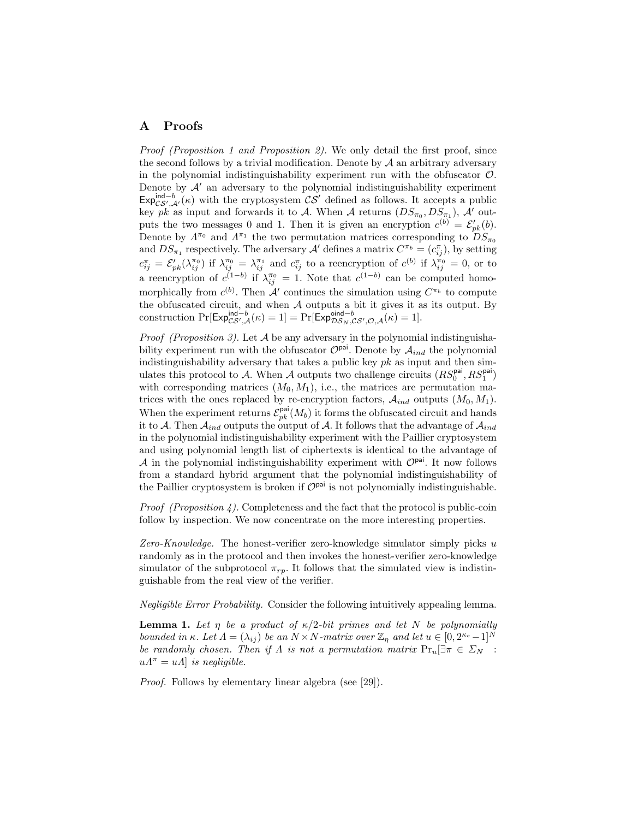### A Proofs

Proof (Proposition 1 and Proposition 2). We only detail the first proof, since the second follows by a trivial modification. Denote by  $A$  an arbitrary adversary in the polynomial indistinguishability experiment run with the obfuscator  $\mathcal{O}$ . Denote by  $A'$  an adversary to the polynomial indistinguishability experiment  $Exp_{CS',A'}^{\text{ind}-b}(\kappa)$  with the cryptosystem  $CS'$  defined as follows. It accepts a public key pk as input and forwards it to A. When A returns  $(DS_{\pi_0}, DS_{\pi_1}),$  A' outputs the two messages 0 and 1. Then it is given an encryption  $c^{(b)} = \mathcal{E}'_{pk}(b)$ . Denote by  $\Lambda^{\pi_0}$  and  $\Lambda^{\pi_1}$  the two permutation matrices corresponding to  $DS_{\pi_0}$ and  $DS_{\pi_1}$  respectively. The adversary  $\mathcal{A}'$  defines a matrix  $C^{\pi_b} = (c_{ij}^{\pi})$ , by setting  $c_{ij}^{\pi} = \mathcal{E}_{pk}'(\lambda_{ij}^{\pi_0})$  if  $\lambda_{ij}^{\pi_0} = \lambda_{ij}^{\pi_1}$  and  $c_{ij}^{\pi}$  to a reencryption of  $c^{(b)}$  if  $\lambda_{ij}^{\pi_0} = 0$ , or to a reencryption of  $c^{(1-b)}$  if  $\lambda_{ij}^{\pi_0} = 1$ . Note that  $c^{(1-b)}$  can be computed homomorphically from  $c^{(b)}$ . Then A' continues the simulation using  $C^{\pi_b}$  to compute the obfuscated circuit, and when A outputs a bit it gives it as its output. By construction  $Pr[\mathsf{Exp}_{\mathcal{CS}',\mathcal{A}}^{\mathsf{ind}-b}(\kappa) = 1] = Pr[\mathsf{Exp}_{\mathcal{DS}_N,\mathcal{CS}',\mathcal{O},\mathcal{A}}^{\mathsf{oid}-b}(\kappa) = 1].$ 

*Proof (Proposition 3)*. Let  $A$  be any adversary in the polynomial indistinguishability experiment run with the obfuscator  $\mathcal{O}^{pai}$ . Denote by  $\mathcal{A}_{ind}$  the polynomial indistinguishability adversary that takes a public key  $pk$  as input and then simulates this protocol to A. When A outputs two challenge circuits  $(RS_0^{\text{pai}}, RS_1^{\text{pai}})$ with corresponding matrices  $(M_0, M_1)$ , i.e., the matrices are permutation matrices with the ones replaced by re-encryption factors,  $\mathcal{A}_{ind}$  outputs  $(M_0, M_1)$ . When the experiment returns  $\mathcal{E}_{pk}^{\text{pai}}(M_b)$  it forms the obfuscated circuit and hands it to A. Then  $A_{ind}$  outputs the output of A. It follows that the advantage of  $A_{ind}$ in the polynomial indistinguishability experiment with the Paillier cryptosystem and using polynomial length list of ciphertexts is identical to the advantage of A in the polynomial indistinguishability experiment with  $\mathcal{O}^{pai}$ . It now follows from a standard hybrid argument that the polynomial indistinguishability of the Paillier cryptosystem is broken if  $\mathcal{O}^{pai}$  is not polynomially indistinguishable.

*Proof (Proposition 4).* Completeness and the fact that the protocol is public-coin follow by inspection. We now concentrate on the more interesting properties.

Zero-Knowledge. The honest-verifier zero-knowledge simulator simply picks  $u$ randomly as in the protocol and then invokes the honest-verifier zero-knowledge simulator of the subprotocol  $\pi_{rp}$ . It follows that the simulated view is indistinguishable from the real view of the verifier.

Negligible Error Probability. Consider the following intuitively appealing lemma.

**Lemma 1.** Let  $\eta$  be a product of  $\kappa/2$ -bit primes and let N be polynomially bounded in κ. Let  $\Lambda = (\lambda_{ij})$  be an  $N \times N$ -matrix over  $\mathbb{Z}_n$  and let  $u \in [0, 2^{\kappa_c} - 1]^N$ be randomly chosen. Then if  $\Lambda$  is not a permutation matrix  $Pr_u[\exists \pi \in \Sigma_N :$  $u\Lambda^{\pi} = u\Lambda$  is negligible.

Proof. Follows by elementary linear algebra (see [29]).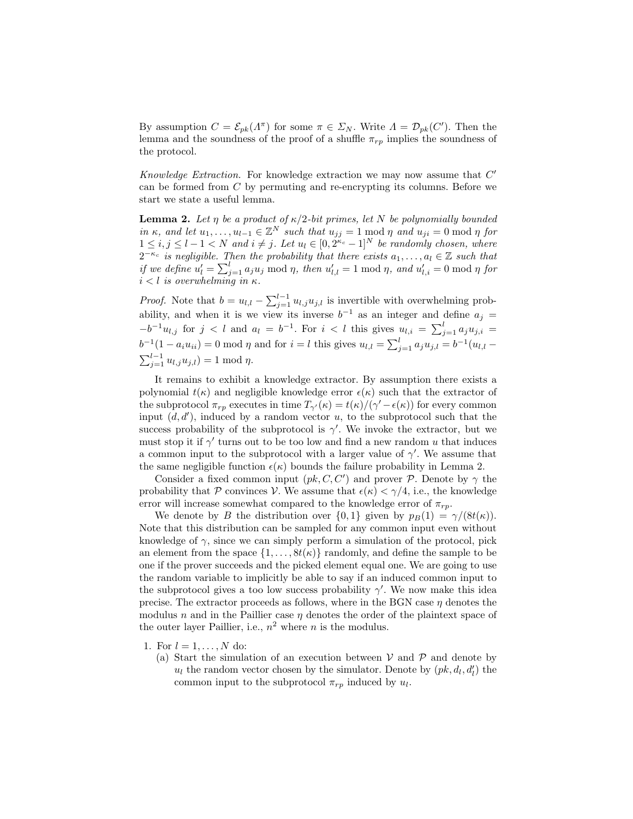By assumption  $C = \mathcal{E}_{pk}(\Lambda^{\pi})$  for some  $\pi \in \Sigma_N$ . Write  $\Lambda = \mathcal{D}_{pk}(C')$ . Then the lemma and the soundness of the proof of a shuffle  $\pi_{rp}$  implies the soundness of the protocol.

Knowledge Extraction. For knowledge extraction we may now assume that  $C'$ can be formed from  $C$  by permuting and re-encrypting its columns. Before we start we state a useful lemma.

**Lemma 2.** Let  $\eta$  be a product of  $\kappa/2$ -bit primes, let N be polynomially bounded in  $\kappa$ , and let  $u_1, \ldots, u_{l-1} \in \mathbb{Z}^N$  such that  $u_{jj} = 1 \bmod \eta$  and  $u_{ji} = 0 \bmod \eta$  for  $1 \leq i, j \leq l-1 < N$  and  $i \neq j$ . Let  $u_l \in [0, 2^{\kappa_c}-1]^N$  be randomly chosen, where  $2^{-\kappa_c}$  is negligible. Then the probability that there exists  $a_1, \ldots, a_l \in \mathbb{Z}$  such that if we define  $u'_l = \sum_{j=1}^l a_j u_j \bmod \eta$ , then  $u'_{l,l} = 1 \bmod \eta$ , and  $u'_{l,i} = 0 \bmod \eta$  for  $i < l$  is overwhelming in  $\kappa$ .

*Proof.* Note that  $b = u_{l,l} - \sum_{j=1}^{l-1} u_{l,j} u_{j,l}$  is invertible with overwhelming probability, and when it is we view its inverse  $b^{-1}$  as an integer and define  $a_j =$  $-b^{-1}u_{l,j}$  for  $j < l$  and  $a_l = b^{-1}$ . For  $i < l$  this gives  $u_{l,i} = \sum_{j=1}^{l} a_j u_{j,i}$  $b^{-1}(1 - a_i u_{ii}) = 0 \text{ mod } \eta \text{ and for } i = l \text{ this gives } u_{l,l} = \sum_{j=1}^l a_j u_{j,l} = b^{-1}(u_{l,l} \sum_{j=1}^{l-1} u_{l,j} u_{j,l}$ ) = 1 mod  $\eta$ .

It remains to exhibit a knowledge extractor. By assumption there exists a polynomial  $t(\kappa)$  and negligible knowledge error  $\epsilon(\kappa)$  such that the extractor of the subprotocol  $\pi_{rp}$  executes in time  $T_{\gamma}(\kappa) = t(\kappa)/(\gamma' - \epsilon(\kappa))$  for every common input  $(d, d')$ , induced by a random vector u, to the subprotocol such that the success probability of the subprotocol is  $\gamma'$ . We invoke the extractor, but we must stop it if  $\gamma'$  turns out to be too low and find a new random u that induces a common input to the subprotocol with a larger value of  $\gamma'$ . We assume that the same negligible function  $\epsilon(\kappa)$  bounds the failure probability in Lemma 2.

Consider a fixed common input  $(pk, C, C')$  and prover P. Denote by  $\gamma$  the probability that P convinces V. We assume that  $\epsilon(\kappa) < \gamma/4$ , i.e., the knowledge error will increase somewhat compared to the knowledge error of  $\pi_{rp}$ .

We denote by B the distribution over  $\{0,1\}$  given by  $p_B(1) = \gamma/(8t(\kappa)).$ Note that this distribution can be sampled for any common input even without knowledge of  $\gamma$ , since we can simply perform a simulation of the protocol, pick an element from the space  $\{1, \ldots, 8t(\kappa)\}\$  randomly, and define the sample to be one if the prover succeeds and the picked element equal one. We are going to use the random variable to implicitly be able to say if an induced common input to the subprotocol gives a too low success probability  $\gamma'$ . We now make this idea precise. The extractor proceeds as follows, where in the BGN case  $\eta$  denotes the modulus  $n$  and in the Paillier case  $\eta$  denotes the order of the plaintext space of the outer layer Paillier, i.e.,  $n^2$  where n is the modulus.

- 1. For  $l = 1, ..., N$  do:
	- (a) Start the simulation of an execution between  $V$  and  $\mathcal P$  and denote by  $u_l$  the random vector chosen by the simulator. Denote by  $(pk, d_l, d'_l)$  the common input to the subprotocol  $\pi_{rp}$  induced by  $u_l$ .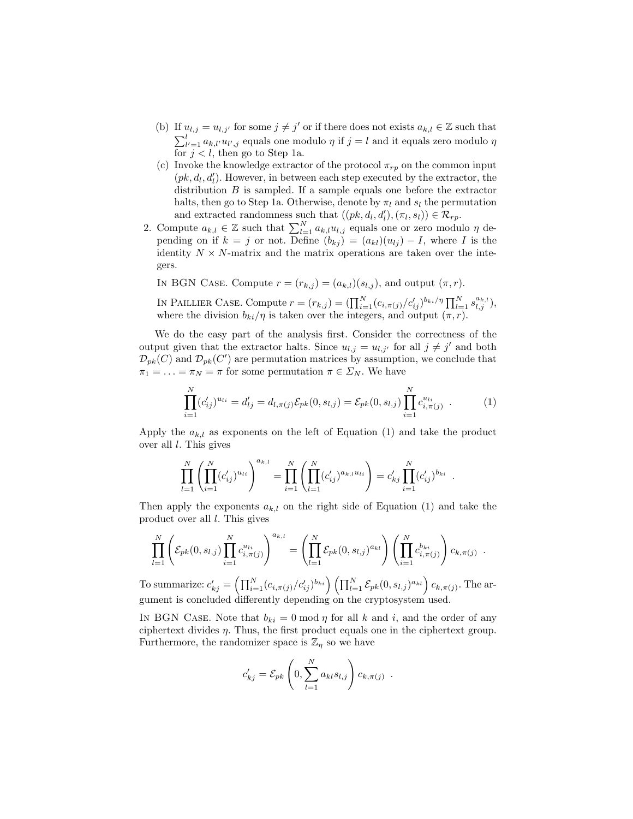- (b) If  $u_{l,j} = u_{l,j'}$  for some  $j \neq j'$  or if there does not exists  $a_{k,l} \in \mathbb{Z}$  such that  $\sum_{l'=1}^{l} a_{k,l'} u_{l',j}$  equals one modulo  $\eta$  if  $j = l$  and it equals zero modulo  $\eta$ for  $j < l$ , then go to Step 1a.
- (c) Invoke the knowledge extractor of the protocol  $\pi_{rp}$  on the common input  $(pk, d_l, d'_l)$ . However, in between each step executed by the extractor, the distribution  $B$  is sampled. If a sample equals one before the extractor halts, then go to Step 1a. Otherwise, denote by  $\pi_l$  and  $s_l$  the permutation and extracted randomness such that  $((pk, d_l, d_l'), (\pi_l, s_l)) \in \mathcal{R}_{rp}$ .
- 2. Compute  $a_{k,l} \in \mathbb{Z}$  such that  $\sum_{l=1}^{N} a_{k,l} u_{l,j}$  equals one or zero modulo  $\eta$  depending on if  $k = j$  or not. Define  $(b_{kj}) = (a_{kl})(u_{lj}) - I$ , where I is the identity  $N \times N$ -matrix and the matrix operations are taken over the integers.

In BGN Case. Compute  $r = (r_{k,i}) = (a_{k,l})(s_{l,i})$ , and output  $(\pi, r)$ .

IN PAILLIER CASE. Compute  $r = (r_{k,j}) = (\prod_{i=1}^N (c_{i,\pi(j)}/c'_{ij})^{b_{ki}/\eta} \prod_{l=1}^N s_{l,j}^{a_{k,l}})$ , where the division  $b_{ki}/\eta$  is taken over the integers, and output  $(\pi, r)$ .

We do the easy part of the analysis first. Consider the correctness of the output given that the extractor halts. Since  $u_{i,j} = u_{i,j'}$  for all  $j \neq j'$  and both  $\mathcal{D}_{pk}(C)$  and  $\mathcal{D}_{pk}(C')$  are permutation matrices by assumption, we conclude that  $\pi_1 = \ldots = \pi_N = \pi$  for some permutation  $\pi \in \Sigma_N$ . We have

$$
\prod_{i=1}^{N} (c'_{ij})^{u_{li}} = d'_{lj} = d_{l,\pi(j)} \mathcal{E}_{pk}(0, s_{l,j}) = \mathcal{E}_{pk}(0, s_{l,j}) \prod_{i=1}^{N} c^{u_{li}}_{i,\pi(j)} .
$$
 (1)

.

Apply the  $a_{k,l}$  as exponents on the left of Equation (1) and take the product over all  $l$ . This gives

$$
\prod_{l=1}^N \left( \prod_{i=1}^N (c'_{ij})^{u_{li}} \right)^{a_{k,l}} = \prod_{i=1}^N \left( \prod_{l=1}^N (c'_{ij})^{a_{k,l} u_{li}} \right) = c'_{kj} \prod_{i=1}^N (c'_{ij})^{b_{ki}}
$$

Then apply the exponents  $a_{k,l}$  on the right side of Equation (1) and take the product over all l. This gives

$$
\prod_{l=1}^N \left( \mathcal{E}_{pk}(0, s_{l,j}) \prod_{i=1}^N c_{i, \pi(j)}^{u_{li}} \right)^{a_{k,l}} = \left( \prod_{l=1}^N \mathcal{E}_{pk}(0, s_{l,j})^{a_{kl}} \right) \left( \prod_{i=1}^N c_{i, \pi(j)}^{b_{ki}} \right) c_{k, \pi(j)}.
$$

To summarize:  $c'_{kj} = \left(\prod_{i=1}^N (c_{i,\pi(j)}/c'_{ij})^{b_{ki}}\right) \left(\prod_{l=1}^N \mathcal{E}_{pk}(0, s_{l,j})^{a_{kl}}\right) c_{k,\pi(j)}.$  The argument is concluded differently depending on the cryptosystem used.

IN BGN CASE. Note that  $b_{ki} = 0 \mod \eta$  for all k and i, and the order of any ciphertext divides  $\eta$ . Thus, the first product equals one in the ciphertext group. Furthermore, the randomizer space is  $\mathbb{Z}_n$  so we have

$$
c'_{kj} = \mathcal{E}_{pk} \left( 0, \sum_{l=1}^{N} a_{kl} s_{l,j} \right) c_{k,\pi(j)}.
$$